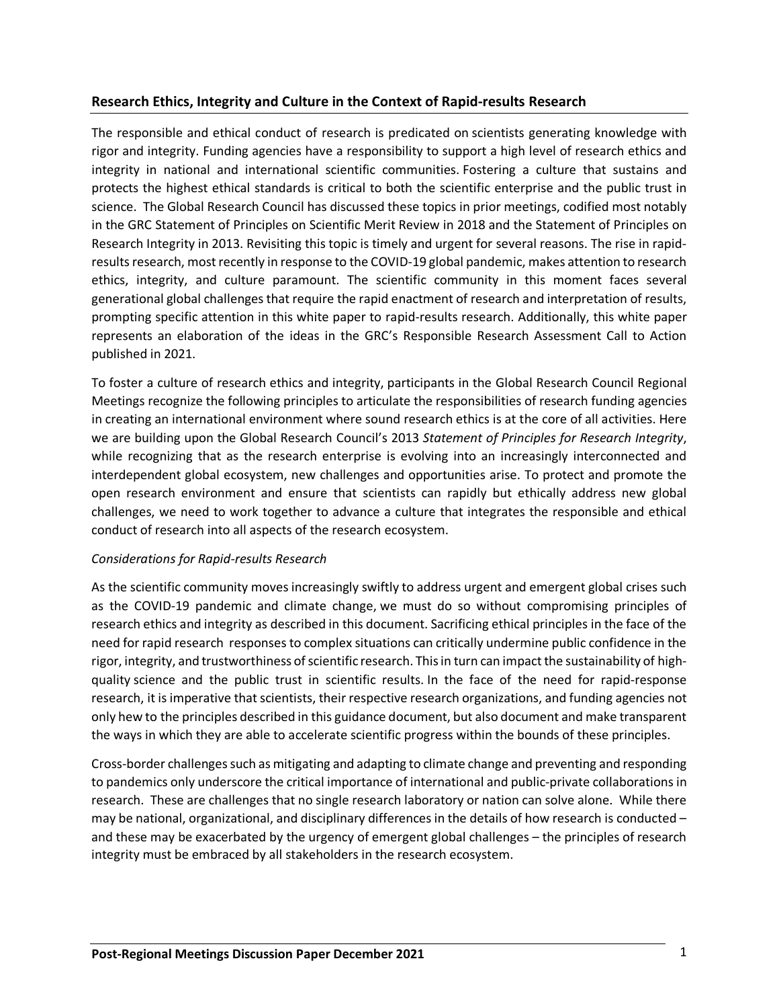# **Research Ethics, Integrity and Culture in the Context of Rapid-results Research**

The responsible and ethical conduct of research is predicated on scientists generating knowledge with rigor and integrity. Funding agencies have a responsibility to support a high level of research ethics and integrity in national and international scientific communities. Fostering a culture that sustains and protects the highest ethical standards is critical to both the scientific enterprise and the public trust in science. The Global Research Council has discussed these topics in prior meetings, codified most notably in the GRC Statement of Principles on Scientific Merit Review in 2018 and the Statement of Principles on Research Integrity in 2013. Revisiting this topic is timely and urgent for several reasons. The rise in rapidresults research, most recently in response to the COVID-19 global pandemic, makes attention to research ethics, integrity, and culture paramount. The scientific community in this moment faces several generational global challenges that require the rapid enactment of research and interpretation of results, prompting specific attention in this white paper to rapid-results research. Additionally, this white paper represents an elaboration of the ideas in the GRC's Responsible Research Assessment Call to Action published in 2021.

To foster a culture of research ethics and integrity, participants in the Global Research Council Regional Meetings recognize the following principles to articulate the responsibilities of research funding agencies in creating an international environment where sound research ethics is at the core of all activities. Here we are building upon the Global Research Council's 2013 *Statement of Principles for Research Integrity*, while recognizing that as the research enterprise is evolving into an increasingly interconnected and interdependent global ecosystem, new challenges and opportunities arise. To protect and promote the open research environment and ensure that scientists can rapidly but ethically address new global challenges, we need to work together to advance a culture that integrates the responsible and ethical conduct of research into all aspects of the research ecosystem.

### *Considerations for Rapid-results Research*

As the scientific community moves increasingly swiftly to address urgent and emergent global crises such as the COVID-19 pandemic and climate change, we must do so without compromising principles of research ethics and integrity as described in this document. Sacrificing ethical principles in the face of the need for rapid research responses to complex situations can critically undermine public confidence in the rigor, integrity, and trustworthiness of scientific research. This in turn can impact the sustainability of highquality science and the public trust in scientific results. In the face of the need for rapid-response research, it is imperative that scientists, their respective research organizations, and funding agencies not only hew to the principles described in this guidance document, but also document and make transparent the ways in which they are able to accelerate scientific progress within the bounds of these principles.

Cross-border challenges such as mitigating and adapting to climate change and preventing and responding to pandemics only underscore the critical importance of international and public-private collaborations in research. These are challenges that no single research laboratory or nation can solve alone. While there may be national, organizational, and disciplinary differences in the details of how research is conducted – and these may be exacerbated by the urgency of emergent global challenges – the principles of research integrity must be embraced by all stakeholders in the research ecosystem.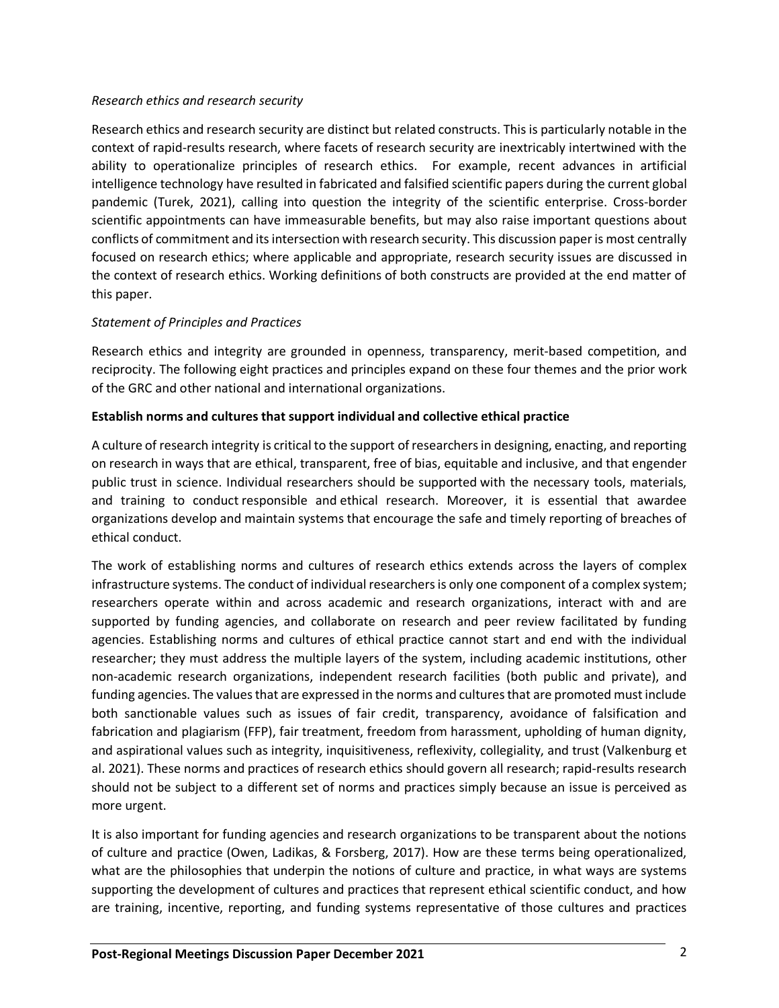# *Research ethics and research security*

Research ethics and research security are distinct but related constructs. This is particularly notable in the context of rapid-results research, where facets of research security are inextricably intertwined with the ability to operationalize principles of research ethics. For example, recent advances in artificial intelligence technology have resulted in fabricated and falsified scientific papers during the current global pandemic (Turek, 2021), calling into question the integrity of the scientific enterprise. Cross-border scientific appointments can have immeasurable benefits, but may also raise important questions about conflicts of commitment and its intersection with research security. This discussion paper is most centrally focused on research ethics; where applicable and appropriate, research security issues are discussed in the context of research ethics. Working definitions of both constructs are provided at the end matter of this paper.

# *Statement of Principles and Practices*

Research ethics and integrity are grounded in openness, transparency, merit-based competition, and reciprocity. The following eight practices and principles expand on these four themes and the prior work of the GRC and other national and international organizations.

# **Establish norms and cultures that support individual and collective ethical practice**

A culture of research integrity is critical to the support of researchers in designing, enacting, and reporting on research in ways that are ethical, transparent, free of bias, equitable and inclusive, and that engender public trust in science. Individual researchers should be supported with the necessary tools, materials, and training to conduct responsible and ethical research. Moreover, it is essential that awardee organizations develop and maintain systems that encourage the safe and timely reporting of breaches of ethical conduct.

The work of establishing norms and cultures of research ethics extends across the layers of complex infrastructure systems. The conduct of individual researchers is only one component of a complex system; researchers operate within and across academic and research organizations, interact with and are supported by funding agencies, and collaborate on research and peer review facilitated by funding agencies. Establishing norms and cultures of ethical practice cannot start and end with the individual researcher; they must address the multiple layers of the system, including academic institutions, other non-academic research organizations, independent research facilities (both public and private), and funding agencies. The values that are expressed in the norms and cultures that are promoted must include both sanctionable values such as issues of fair credit, transparency, avoidance of falsification and fabrication and plagiarism (FFP), fair treatment, freedom from harassment, upholding of human dignity, and aspirational values such as integrity, inquisitiveness, reflexivity, collegiality, and trust (Valkenburg et al. 2021). These norms and practices of research ethics should govern all research; rapid-results research should not be subject to a different set of norms and practices simply because an issue is perceived as more urgent.

It is also important for funding agencies and research organizations to be transparent about the notions of culture and practice (Owen, Ladikas, & Forsberg, 2017). How are these terms being operationalized, what are the philosophies that underpin the notions of culture and practice, in what ways are systems supporting the development of cultures and practices that represent ethical scientific conduct, and how are training, incentive, reporting, and funding systems representative of those cultures and practices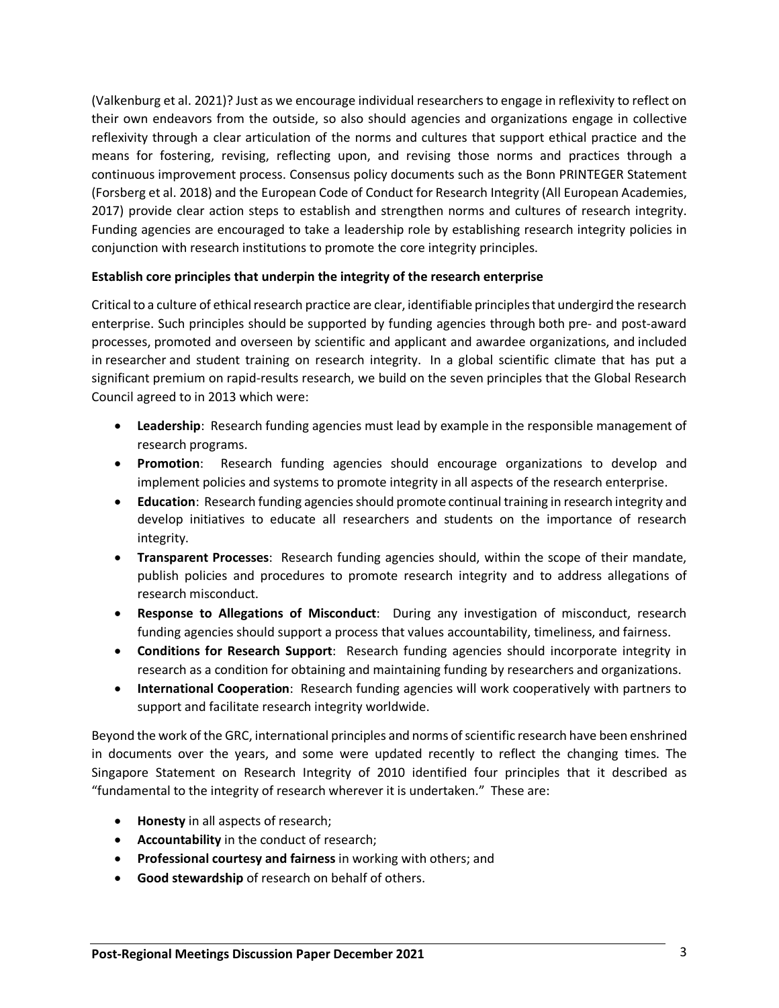(Valkenburg et al. 2021)? Just as we encourage individual researchers to engage in reflexivity to reflect on their own endeavors from the outside, so also should agencies and organizations engage in collective reflexivity through a clear articulation of the norms and cultures that support ethical practice and the means for fostering, revising, reflecting upon, and revising those norms and practices through a continuous improvement process. Consensus policy documents such as the Bonn PRINTEGER Statement (Forsberg et al. 2018) and the European Code of Conduct for Research Integrity (All European Academies, 2017) provide clear action steps to establish and strengthen norms and cultures of research integrity. Funding agencies are encouraged to take a leadership role by establishing research integrity policies in conjunction with research institutions to promote the core integrity principles.

# **Establish core principles that underpin the integrity of the research enterprise**

Critical to a culture of ethical research practice are clear, identifiable principles that undergird the research enterprise. Such principles should be supported by funding agencies through both pre- and post-award processes, promoted and overseen by scientific and applicant and awardee organizations, and included in researcher and student training on research integrity. In a global scientific climate that has put a significant premium on rapid-results research, we build on the seven principles that the Global Research Council agreed to in 2013 which were:

- **Leadership**: Research funding agencies must lead by example in the responsible management of research programs.
- **Promotion**: Research funding agencies should encourage organizations to develop and implement policies and systems to promote integrity in all aspects of the research enterprise.
- **Education**: Research funding agencies should promote continual training in research integrity and develop initiatives to educate all researchers and students on the importance of research integrity.
- **Transparent Processes**: Research funding agencies should, within the scope of their mandate, publish policies and procedures to promote research integrity and to address allegations of research misconduct.
- **Response to Allegations of Misconduct**: During any investigation of misconduct, research funding agencies should support a process that values accountability, timeliness, and fairness.
- **Conditions for Research Support**: Research funding agencies should incorporate integrity in research as a condition for obtaining and maintaining funding by researchers and organizations.
- **International Cooperation**: Research funding agencies will work cooperatively with partners to support and facilitate research integrity worldwide.

Beyond the work of the GRC, international principles and norms of scientific research have been enshrined in documents over the years, and some were updated recently to reflect the changing times. The Singapore Statement on Research Integrity of 2010 identified four principles that it described as "fundamental to the integrity of research wherever it is undertaken." These are:

- **Honesty** in all aspects of research;
- **Accountability** in the conduct of research;
- **Professional courtesy and fairness** in working with others; and
- **Good stewardship** of research on behalf of others.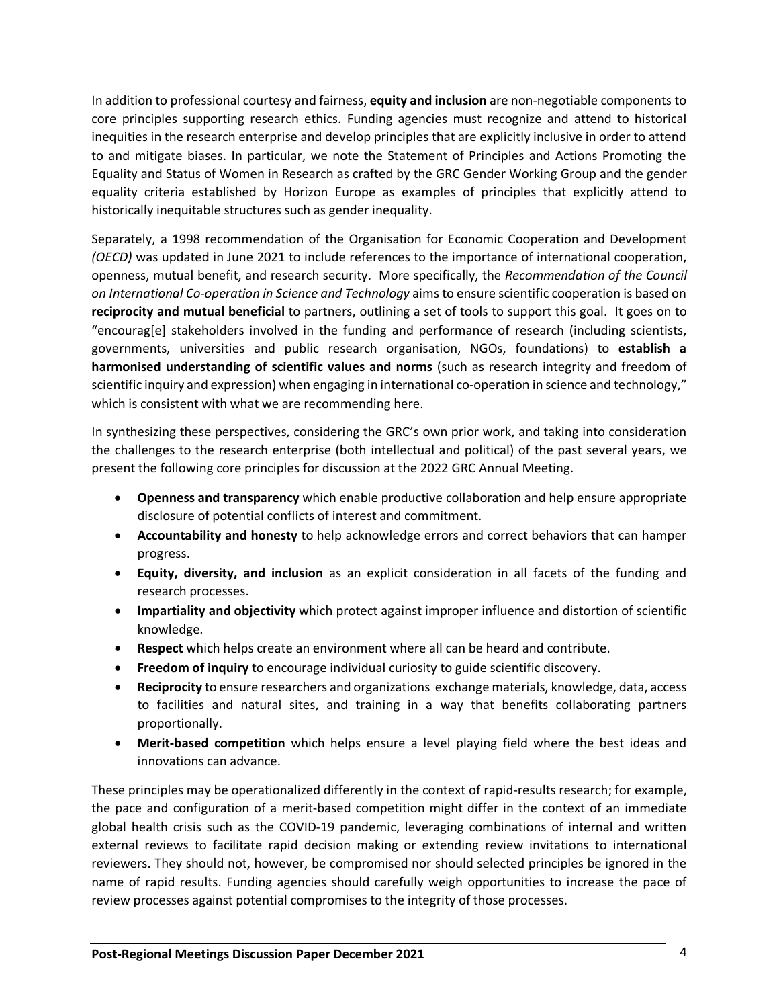In addition to professional courtesy and fairness, **equity and inclusion** are non-negotiable components to core principles supporting research ethics. Funding agencies must recognize and attend to historical inequities in the research enterprise and develop principles that are explicitly inclusive in order to attend to and mitigate biases. In particular, we note the Statement of Principles and Actions Promoting the Equality and Status of Women in Research as crafted by the GRC Gender Working Group and the gender equality criteria established by Horizon Europe as examples of principles that explicitly attend to historically inequitable structures such as gender inequality.

Separately, a 1998 recommendation of the Organisation for Economic Cooperation and Development *(OECD)* was updated in June 2021 to include references to the importance of international cooperation, openness, mutual benefit, and research security. More specifically, the *Recommendation of the Council on International Co-operation in Science and Technology* aims to ensure scientific cooperation is based on **reciprocity and mutual beneficial** to partners, outlining a set of tools to support this goal. It goes on to "encourag[e] stakeholders involved in the funding and performance of research (including scientists, governments, universities and public research organisation, NGOs, foundations) to **establish a harmonised understanding of scientific values and norms** (such as research integrity and freedom of scientific inquiry and expression) when engaging in international co-operation in science and technology," which is consistent with what we are recommending here.

In synthesizing these perspectives, considering the GRC's own prior work, and taking into consideration the challenges to the research enterprise (both intellectual and political) of the past several years, we present the following core principles for discussion at the 2022 GRC Annual Meeting.

- **Openness and transparency** which enable productive collaboration and help ensure appropriate disclosure of potential conflicts of interest and commitment.
- **Accountability and honesty** to help acknowledge errors and correct behaviors that can hamper progress.
- **Equity, diversity, and inclusion** as an explicit consideration in all facets of the funding and research processes.
- **Impartiality and objectivity** which protect against improper influence and distortion of scientific knowledge.
- **Respect** which helps create an environment where all can be heard and contribute.
- **Freedom of inquiry** to encourage individual curiosity to guide scientific discovery.
- **Reciprocity** to ensure researchers and organizations exchange materials, knowledge, data, access to facilities and natural sites, and training in a way that benefits collaborating partners proportionally.
- **Merit-based competition** which helps ensure a level playing field where the best ideas and innovations can advance.

These principles may be operationalized differently in the context of rapid-results research; for example, the pace and configuration of a merit-based competition might differ in the context of an immediate global health crisis such as the COVID-19 pandemic, leveraging combinations of internal and written external reviews to facilitate rapid decision making or extending review invitations to international reviewers. They should not, however, be compromised nor should selected principles be ignored in the name of rapid results. Funding agencies should carefully weigh opportunities to increase the pace of review processes against potential compromises to the integrity of those processes.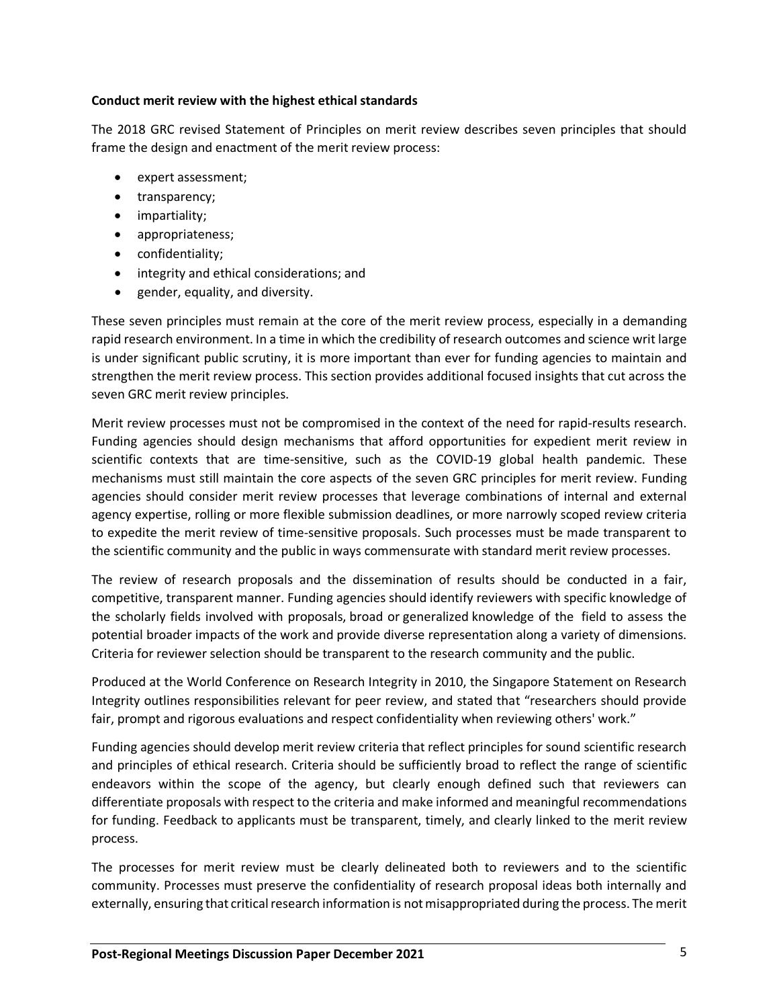### **Conduct merit review with the highest ethical standards**

The 2018 GRC revised Statement of Principles on merit review describes seven principles that should frame the design and enactment of the merit review process:

- expert assessment;
- transparency;
- impartiality;
- appropriateness;
- confidentiality;
- integrity and ethical considerations; and
- gender, equality, and diversity.

These seven principles must remain at the core of the merit review process, especially in a demanding rapid research environment. In a time in which the credibility of research outcomes and science writ large is under significant public scrutiny, it is more important than ever for funding agencies to maintain and strengthen the merit review process. This section provides additional focused insights that cut across the seven GRC merit review principles.

Merit review processes must not be compromised in the context of the need for rapid-results research. Funding agencies should design mechanisms that afford opportunities for expedient merit review in scientific contexts that are time-sensitive, such as the COVID-19 global health pandemic. These mechanisms must still maintain the core aspects of the seven GRC principles for merit review. Funding agencies should consider merit review processes that leverage combinations of internal and external agency expertise, rolling or more flexible submission deadlines, or more narrowly scoped review criteria to expedite the merit review of time-sensitive proposals. Such processes must be made transparent to the scientific community and the public in ways commensurate with standard merit review processes.

The review of research proposals and the dissemination of results should be conducted in a fair, competitive, transparent manner. Funding agencies should identify reviewers with specific knowledge of the scholarly fields involved with proposals, broad or generalized knowledge of the field to assess the potential broader impacts of the work and provide diverse representation along a variety of dimensions. Criteria for reviewer selection should be transparent to the research community and the public.

Produced at the World Conference on Research Integrity in 2010, the Singapore Statement on Research Integrity outlines responsibilities relevant for peer review, and stated that "researchers should provide fair, prompt and rigorous evaluations and respect confidentiality when reviewing others' work."

Funding agencies should develop merit review criteria that reflect principles for sound scientific research and principles of ethical research. Criteria should be sufficiently broad to reflect the range of scientific endeavors within the scope of the agency, but clearly enough defined such that reviewers can differentiate proposals with respect to the criteria and make informed and meaningful recommendations for funding. Feedback to applicants must be transparent, timely, and clearly linked to the merit review process.

The processes for merit review must be clearly delineated both to reviewers and to the scientific community. Processes must preserve the confidentiality of research proposal ideas both internally and externally, ensuring that critical research information is not misappropriated during the process. The merit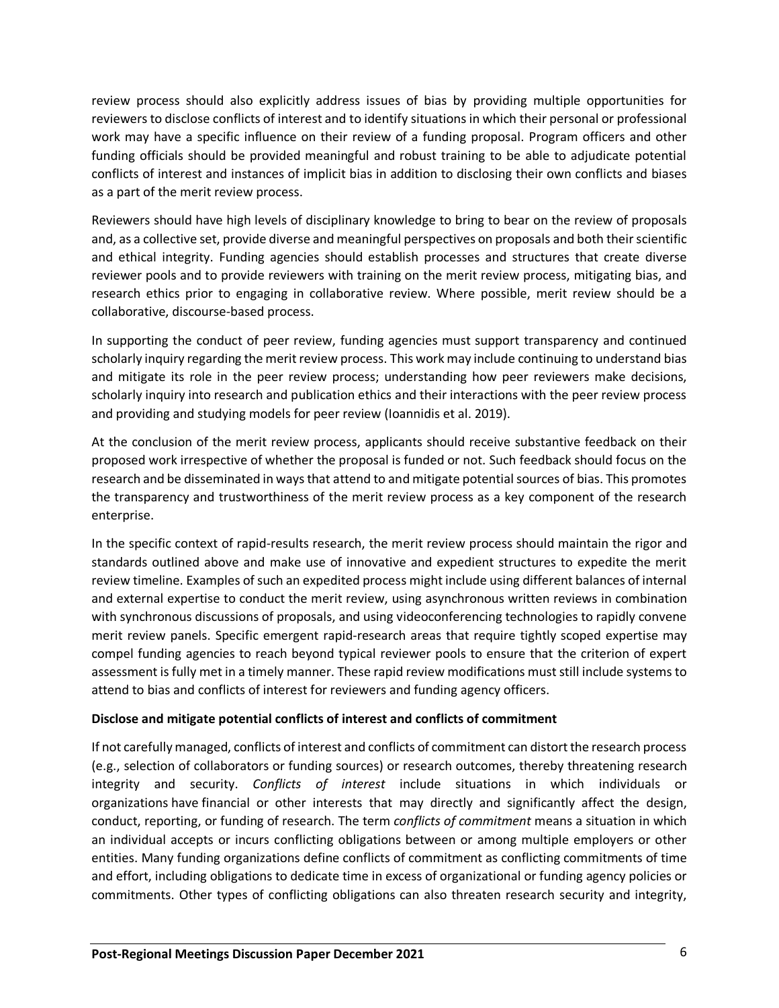review process should also explicitly address issues of bias by providing multiple opportunities for reviewers to disclose conflicts of interest and to identify situations in which their personal or professional work may have a specific influence on their review of a funding proposal. Program officers and other funding officials should be provided meaningful and robust training to be able to adjudicate potential conflicts of interest and instances of implicit bias in addition to disclosing their own conflicts and biases as a part of the merit review process.

Reviewers should have high levels of disciplinary knowledge to bring to bear on the review of proposals and, as a collective set, provide diverse and meaningful perspectives on proposals and both their scientific and ethical integrity. Funding agencies should establish processes and structures that create diverse reviewer pools and to provide reviewers with training on the merit review process, mitigating bias, and research ethics prior to engaging in collaborative review. Where possible, merit review should be a collaborative, discourse-based process.

In supporting the conduct of peer review, funding agencies must support transparency and continued scholarly inquiry regarding the merit review process. This work may include continuing to understand bias and mitigate its role in the peer review process; understanding how peer reviewers make decisions, scholarly inquiry into research and publication ethics and their interactions with the peer review process and providing and studying models for peer review (Ioannidis et al. 2019).

At the conclusion of the merit review process, applicants should receive substantive feedback on their proposed work irrespective of whether the proposal is funded or not. Such feedback should focus on the research and be disseminated in ways that attend to and mitigate potential sources of bias. This promotes the transparency and trustworthiness of the merit review process as a key component of the research enterprise.

In the specific context of rapid-results research, the merit review process should maintain the rigor and standards outlined above and make use of innovative and expedient structures to expedite the merit review timeline. Examples of such an expedited process might include using different balances of internal and external expertise to conduct the merit review, using asynchronous written reviews in combination with synchronous discussions of proposals, and using videoconferencing technologies to rapidly convene merit review panels. Specific emergent rapid-research areas that require tightly scoped expertise may compel funding agencies to reach beyond typical reviewer pools to ensure that the criterion of expert assessment is fully met in a timely manner. These rapid review modifications must still include systems to attend to bias and conflicts of interest for reviewers and funding agency officers.

# **Disclose and mitigate potential conflicts of interest and conflicts of commitment**

If not carefully managed, conflicts of interest and conflicts of commitment can distort the research process (e.g., selection of collaborators or funding sources) or research outcomes, thereby threatening research integrity and security. *Conflicts of interest* include situations in which individuals or organizations have financial or other interests that may directly and significantly affect the design, conduct, reporting, or funding of research. The term *conflicts of commitment* means a situation in which an individual accepts or incurs conflicting obligations between or among multiple employers or other entities. Many funding organizations define conflicts of commitment as conflicting commitments of time and effort, including obligations to dedicate time in excess of organizational or funding agency policies or commitments. Other types of conflicting obligations can also threaten research security and integrity,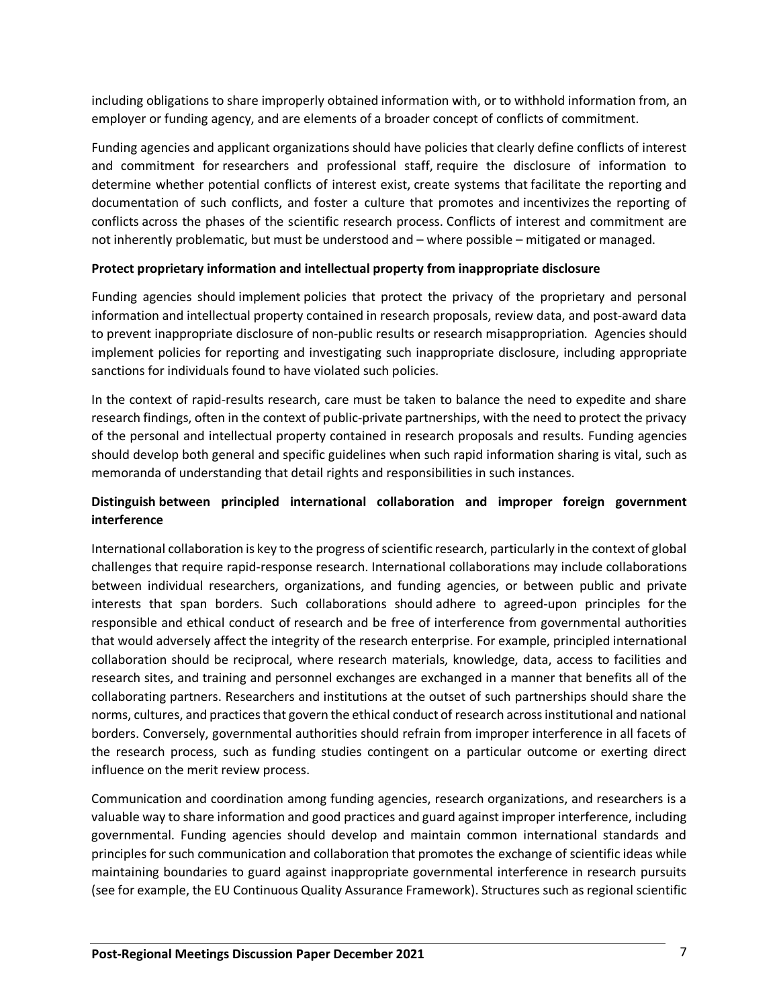including obligations to share improperly obtained information with, or to withhold information from, an employer or funding agency, and are elements of a broader concept of conflicts of commitment.

Funding agencies and applicant organizations should have policies that clearly define conflicts of interest and commitment for researchers and professional staff, require the disclosure of information to determine whether potential conflicts of interest exist, create systems that facilitate the reporting and documentation of such conflicts, and foster a culture that promotes and incentivizes the reporting of conflicts across the phases of the scientific research process. Conflicts of interest and commitment are not inherently problematic, but must be understood and – where possible – mitigated or managed.

# **Protect proprietary information and intellectual property from inappropriate disclosure**

Funding agencies should implement policies that protect the privacy of the proprietary and personal information and intellectual property contained in research proposals, review data, and post-award data to prevent inappropriate disclosure of non-public results or research misappropriation*.* Agencies should implement policies for reporting and investigating such inappropriate disclosure, including appropriate sanctions for individuals found to have violated such policies.

In the context of rapid-results research, care must be taken to balance the need to expedite and share research findings, often in the context of public-private partnerships, with the need to protect the privacy of the personal and intellectual property contained in research proposals and results. Funding agencies should develop both general and specific guidelines when such rapid information sharing is vital, such as memoranda of understanding that detail rights and responsibilities in such instances.

# **Distinguish between principled international collaboration and improper foreign government interference**

International collaboration is key to the progress of scientific research, particularly in the context of global challenges that require rapid-response research. International collaborations may include collaborations between individual researchers, organizations, and funding agencies, or between public and private interests that span borders. Such collaborations should adhere to agreed-upon principles for the responsible and ethical conduct of research and be free of interference from governmental authorities that would adversely affect the integrity of the research enterprise. For example, principled international collaboration should be reciprocal, where research materials, knowledge, data, access to facilities and research sites, and training and personnel exchanges are exchanged in a manner that benefits all of the collaborating partners. Researchers and institutions at the outset of such partnerships should share the norms, cultures, and practices that govern the ethical conduct of research across institutional and national borders. Conversely, governmental authorities should refrain from improper interference in all facets of the research process, such as funding studies contingent on a particular outcome or exerting direct influence on the merit review process.

Communication and coordination among funding agencies, research organizations, and researchers is a valuable way to share information and good practices and guard against improper interference, including governmental. Funding agencies should develop and maintain common international standards and principles for such communication and collaboration that promotes the exchange of scientific ideas while maintaining boundaries to guard against inappropriate governmental interference in research pursuits (see for example, the EU Continuous Quality Assurance Framework). Structures such as regional scientific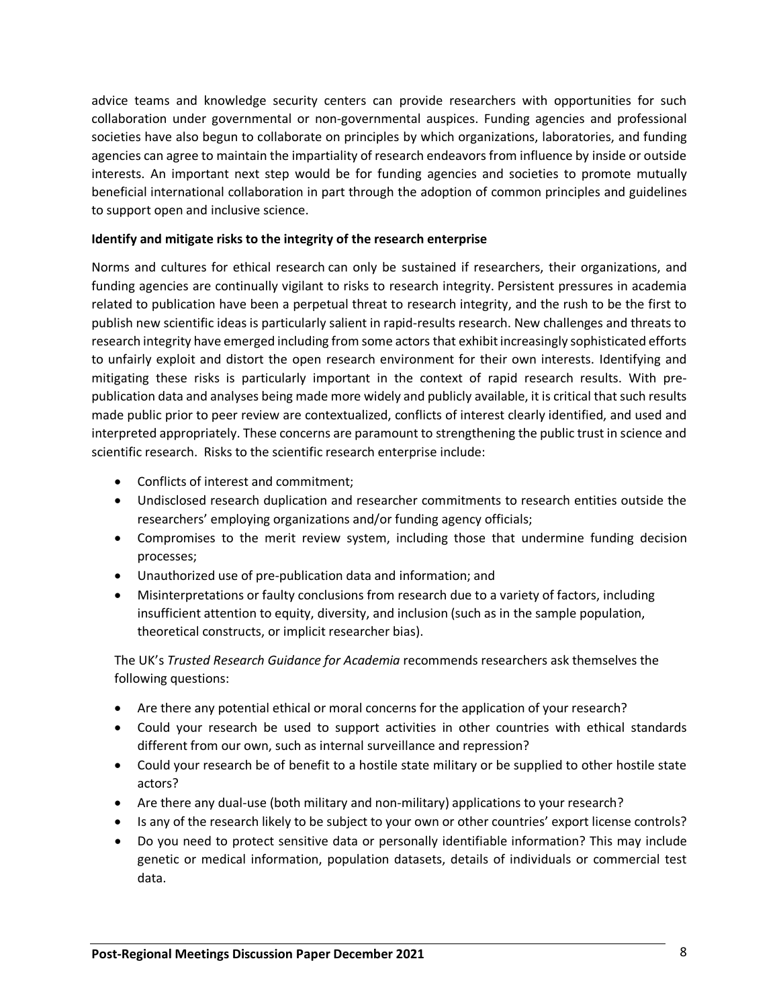advice teams and knowledge security centers can provide researchers with opportunities for such collaboration under governmental or non-governmental auspices. Funding agencies and professional societies have also begun to collaborate on principles by which organizations, laboratories, and funding agencies can agree to maintain the impartiality of research endeavors from influence by inside or outside interests. An important next step would be for funding agencies and societies to promote mutually beneficial international collaboration in part through the adoption of common principles and guidelines to support open and inclusive science.

# **Identify and mitigate risks to the integrity of the research enterprise**

Norms and cultures for ethical research can only be sustained if researchers, their organizations, and funding agencies are continually vigilant to risks to research integrity. Persistent pressures in academia related to publication have been a perpetual threat to research integrity, and the rush to be the first to publish new scientific ideas is particularly salient in rapid-results research. New challenges and threats to research integrity have emerged including from some actors that exhibit increasingly sophisticated efforts to unfairly exploit and distort the open research environment for their own interests. Identifying and mitigating these risks is particularly important in the context of rapid research results. With prepublication data and analyses being made more widely and publicly available, it is critical that such results made public prior to peer review are contextualized, conflicts of interest clearly identified, and used and interpreted appropriately. These concerns are paramount to strengthening the public trust in science and scientific research. Risks to the scientific research enterprise include:

- Conflicts of interest and commitment;
- Undisclosed research duplication and researcher commitments to research entities outside the researchers' employing organizations and/or funding agency officials;
- Compromises to the merit review system, including those that undermine funding decision processes;
- Unauthorized use of pre-publication data and information; and
- Misinterpretations or faulty conclusions from research due to a variety of factors, including insufficient attention to equity, diversity, and inclusion (such as in the sample population, theoretical constructs, or implicit researcher bias).

The UK's *Trusted Research Guidance for Academia* recommends researchers ask themselves the following questions:

- Are there any potential ethical or moral concerns for the application of your research?
- Could your research be used to support activities in other countries with ethical standards different from our own, such as internal surveillance and repression?
- Could your research be of benefit to a hostile state military or be supplied to other hostile state actors?
- Are there any dual-use (both military and non-military) applications to your research?
- Is any of the research likely to be subject to your own or other countries' export license controls?
- Do you need to protect sensitive data or personally identifiable information? This may include genetic or medical information, population datasets, details of individuals or commercial test data.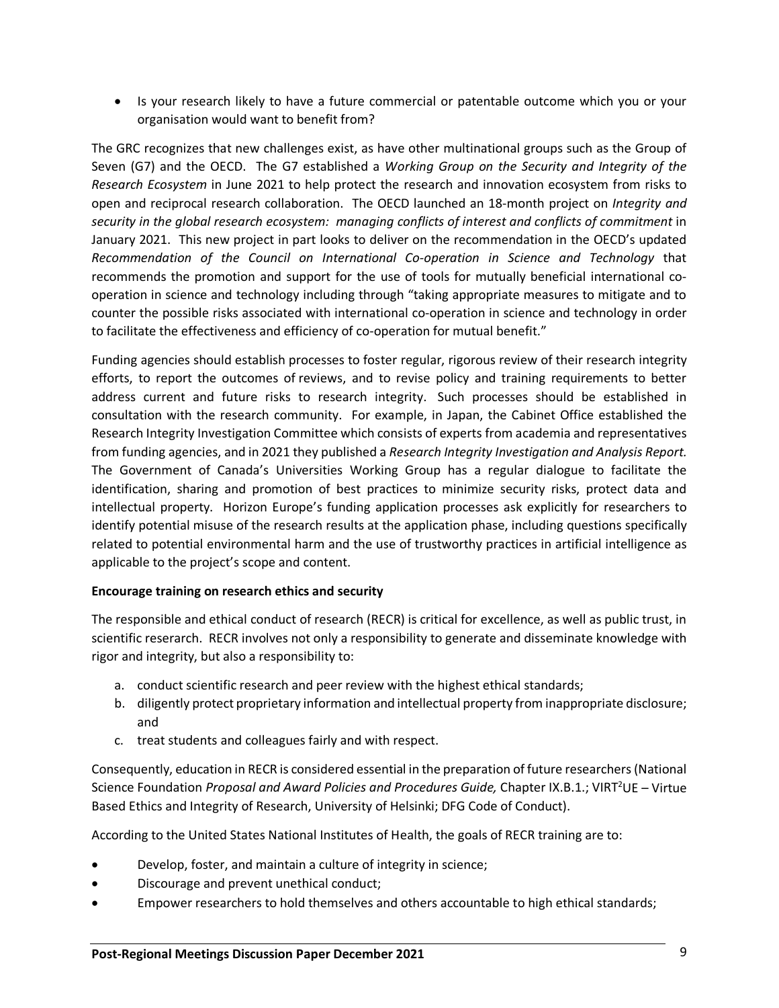• Is your research likely to have a future commercial or patentable outcome which you or your organisation would want to benefit from?

The GRC recognizes that new challenges exist, as have other multinational groups such as the Group of Seven (G7) and the OECD. The G7 established a *Working Group on the Security and Integrity of the Research Ecosystem* in June 2021 to help protect the research and innovation ecosystem from risks to open and reciprocal research collaboration. The OECD launched an 18-month project on *Integrity and security in the global research ecosystem: managing conflicts of interest and conflicts of commitment* in January 2021. This new project in part looks to deliver on the recommendation in the OECD's updated *Recommendation of the Council on International Co-operation in Science and Technology* that recommends the promotion and support for the use of tools for mutually beneficial international cooperation in science and technology including through "taking appropriate measures to mitigate and to counter the possible risks associated with international co-operation in science and technology in order to facilitate the effectiveness and efficiency of co-operation for mutual benefit."

Funding agencies should establish processes to foster regular, rigorous review of their research integrity efforts, to report the outcomes of reviews, and to revise policy and training requirements to better address current and future risks to research integrity. Such processes should be established in consultation with the research community. For example, in Japan, the Cabinet Office established the Research Integrity Investigation Committee which consists of experts from academia and representatives from funding agencies, and in 2021 they published a *Research Integrity Investigation and Analysis Report.*  The Government of Canada's Universities Working Group has a regular dialogue to facilitate the identification, sharing and promotion of best practices to minimize security risks, protect data and intellectual property. Horizon Europe's funding application processes ask explicitly for researchers to identify potential misuse of the research results at the application phase, including questions specifically related to potential environmental harm and the use of trustworthy practices in artificial intelligence as applicable to the project's scope and content.

### **Encourage training on research ethics and security**

The responsible and ethical conduct of research (RECR) is critical for excellence, as well as public trust, in scientific reserarch. RECR involves not only a responsibility to generate and disseminate knowledge with rigor and integrity, but also a responsibility to:

- a. conduct scientific research and peer review with the highest ethical standards;
- b. diligently protect proprietary information and intellectual property from inappropriate disclosure; and
- c. treat students and colleagues fairly and with respect.

Consequently, education in RECR is considered essential in the preparation of future researchers(National Science Foundation Proposal and Award Policies and Procedures Guide, Chapter IX.B.1.; VIRT<sup>2</sup>UE - Virtue Based Ethics and Integrity of Research, University of Helsinki; DFG Code of Conduct).

According to the United States National Institutes of Health, the goals of RECR training are to:

- Develop, foster, and maintain a culture of integrity in science;
- Discourage and prevent unethical conduct;
- Empower researchers to hold themselves and others accountable to high ethical standards;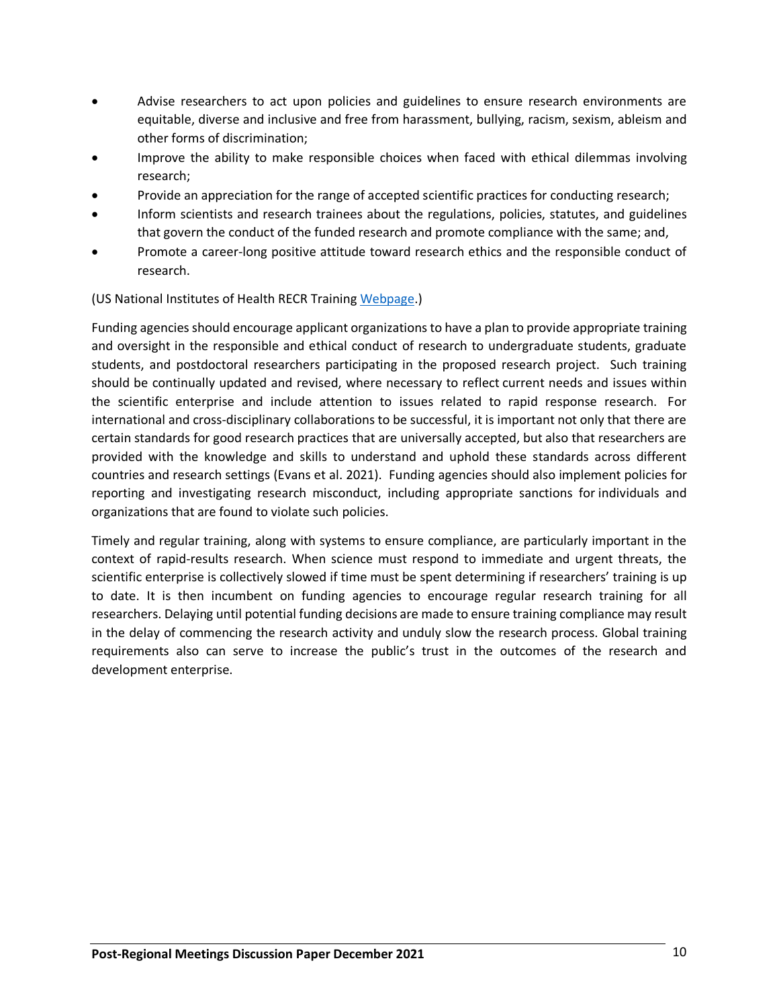- Advise researchers to act upon policies and guidelines to ensure research environments are equitable, diverse and inclusive and free from harassment, bullying, racism, sexism, ableism and other forms of discrimination;
- Improve the ability to make responsible choices when faced with ethical dilemmas involving research;
- Provide an appreciation for the range of accepted scientific practices for conducting research;
- Inform scientists and research trainees about the regulations, policies, statutes, and guidelines that govern the conduct of the funded research and promote compliance with the same; and,
- Promote a career-long positive attitude toward research ethics and the responsible conduct of research.

(US National Institutes of Health RECR Training [Webpage.](https://oir.nih.gov/sourcebook/ethical-conduct/responsible-conduct-research-training))

Funding agencies should encourage applicant organizations to have a plan to provide appropriate training and oversight in the responsible and ethical conduct of research to undergraduate students, graduate students, and postdoctoral researchers participating in the proposed research project. Such training should be continually updated and revised, where necessary to reflect current needs and issues within the scientific enterprise and include attention to issues related to rapid response research. For international and cross-disciplinary collaborations to be successful, it is important not only that there are certain standards for good research practices that are universally accepted, but also that researchers are provided with the knowledge and skills to understand and uphold these standards across different countries and research settings (Evans et al. 2021). Funding agencies should also implement policies for reporting and investigating research misconduct, including appropriate sanctions for individuals and organizations that are found to violate such policies.

Timely and regular training, along with systems to ensure compliance, are particularly important in the context of rapid-results research. When science must respond to immediate and urgent threats, the scientific enterprise is collectively slowed if time must be spent determining if researchers' training is up to date. It is then incumbent on funding agencies to encourage regular research training for all researchers. Delaying until potential funding decisions are made to ensure training compliance may result in the delay of commencing the research activity and unduly slow the research process. Global training requirements also can serve to increase the public's trust in the outcomes of the research and development enterprise.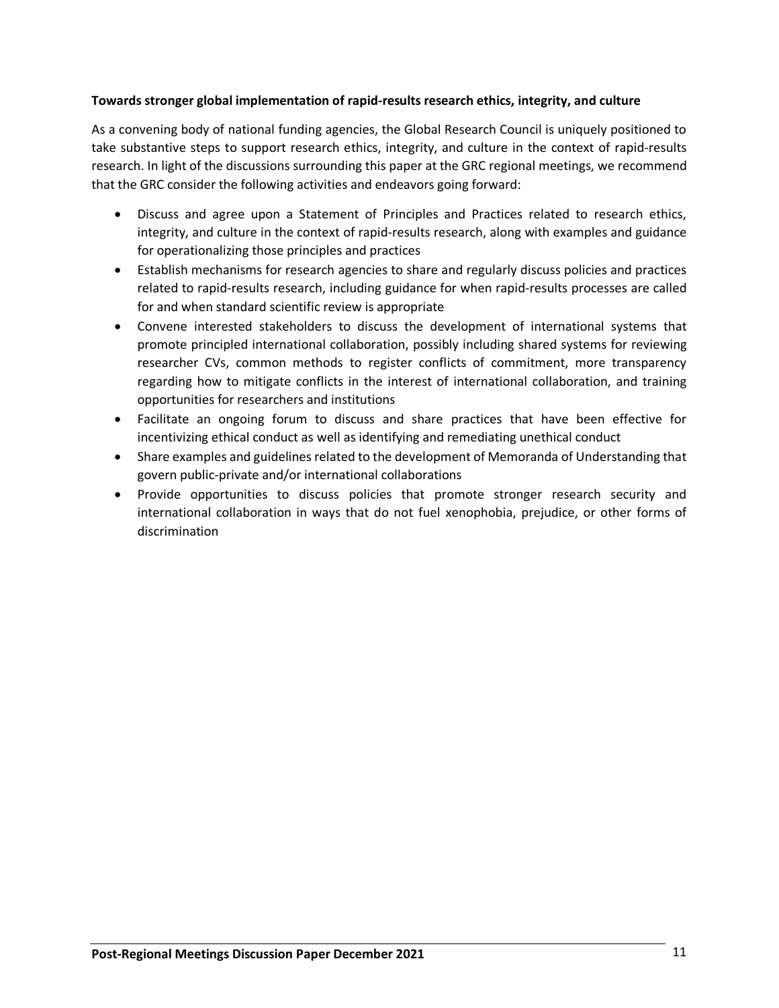# **Towards stronger global implementation of rapid-results research ethics, integrity, and culture**

As a convening body of national funding agencies, the Global Research Council is uniquely positioned to take substantive steps to support research ethics, integrity, and culture in the context of rapid-results research. In light of the discussions surrounding this paper at the GRC regional meetings, we recommend that the GRC consider the following activities and endeavors going forward:

- Discuss and agree upon a Statement of Principles and Practices related to research ethics, integrity, and culture in the context of rapid-results research, along with examples and guidance for operationalizing those principles and practices
- Establish mechanisms for research agencies to share and regularly discuss policies and practices related to rapid-results research, including guidance for when rapid-results processes are called for and when standard scientific review is appropriate
- Convene interested stakeholders to discuss the development of international systems that promote principled international collaboration, possibly including shared systems for reviewing researcher CVs, common methods to register conflicts of commitment, more transparency regarding how to mitigate conflicts in the interest of international collaboration, and training opportunities for researchers and institutions
- Facilitate an ongoing forum to discuss and share practices that have been effective for incentivizing ethical conduct as well as identifying and remediating unethical conduct
- Share examples and guidelines related to the development of Memoranda of Understanding that govern public-private and/or international collaborations
- Provide opportunities to discuss policies that promote stronger research security and international collaboration in ways that do not fuel xenophobia, prejudice, or other forms of discrimination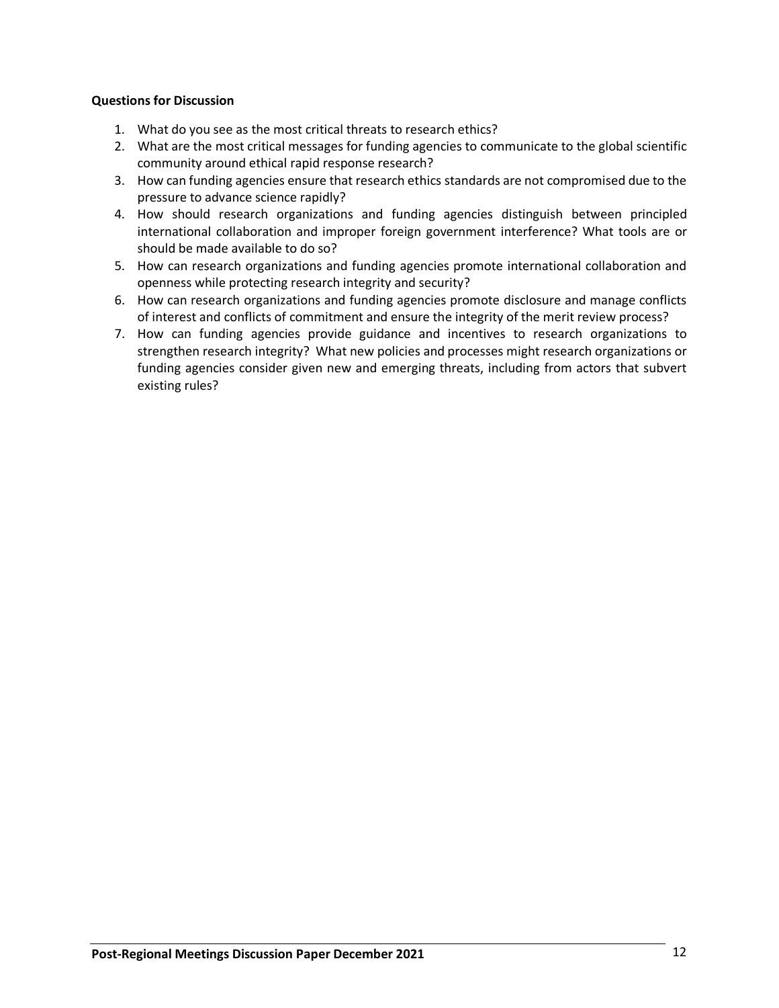## **Questions for Discussion**

- 1. What do you see as the most critical threats to research ethics?
- 2. What are the most critical messages for funding agencies to communicate to the global scientific community around ethical rapid response research?
- 3. How can funding agencies ensure that research ethics standards are not compromised due to the pressure to advance science rapidly?
- 4. How should research organizations and funding agencies distinguish between principled international collaboration and improper foreign government interference? What tools are or should be made available to do so?
- 5. How can research organizations and funding agencies promote international collaboration and openness while protecting research integrity and security?
- 6. How can research organizations and funding agencies promote disclosure and manage conflicts of interest and conflicts of commitment and ensure the integrity of the merit review process?
- 7. How can funding agencies provide guidance and incentives to research organizations to strengthen research integrity? What new policies and processes might research organizations or funding agencies consider given new and emerging threats, including from actors that subvert existing rules?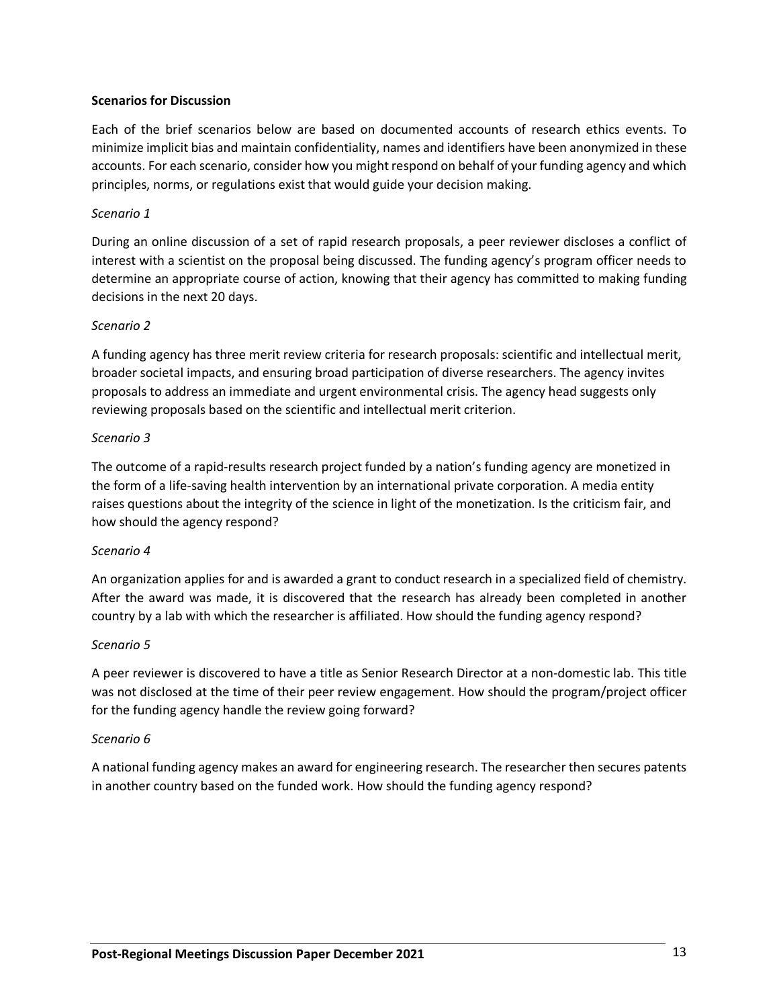#### **Scenarios for Discussion**

Each of the brief scenarios below are based on documented accounts of research ethics events. To minimize implicit bias and maintain confidentiality, names and identifiers have been anonymized in these accounts. For each scenario, consider how you might respond on behalf of your funding agency and which principles, norms, or regulations exist that would guide your decision making.

#### *Scenario 1*

During an online discussion of a set of rapid research proposals, a peer reviewer discloses a conflict of interest with a scientist on the proposal being discussed. The funding agency's program officer needs to determine an appropriate course of action, knowing that their agency has committed to making funding decisions in the next 20 days.

#### *Scenario 2*

A funding agency has three merit review criteria for research proposals: scientific and intellectual merit, broader societal impacts, and ensuring broad participation of diverse researchers. The agency invites proposals to address an immediate and urgent environmental crisis. The agency head suggests only reviewing proposals based on the scientific and intellectual merit criterion.

#### *Scenario 3*

The outcome of a rapid-results research project funded by a nation's funding agency are monetized in the form of a life-saving health intervention by an international private corporation. A media entity raises questions about the integrity of the science in light of the monetization. Is the criticism fair, and how should the agency respond?

#### *Scenario 4*

An organization applies for and is awarded a grant to conduct research in a specialized field of chemistry. After the award was made, it is discovered that the research has already been completed in another country by a lab with which the researcher is affiliated. How should the funding agency respond?

#### *Scenario 5*

A peer reviewer is discovered to have a title as Senior Research Director at a non-domestic lab. This title was not disclosed at the time of their peer review engagement. How should the program/project officer for the funding agency handle the review going forward?

#### *Scenario 6*

A national funding agency makes an award for engineering research. The researcher then secures patents in another country based on the funded work. How should the funding agency respond?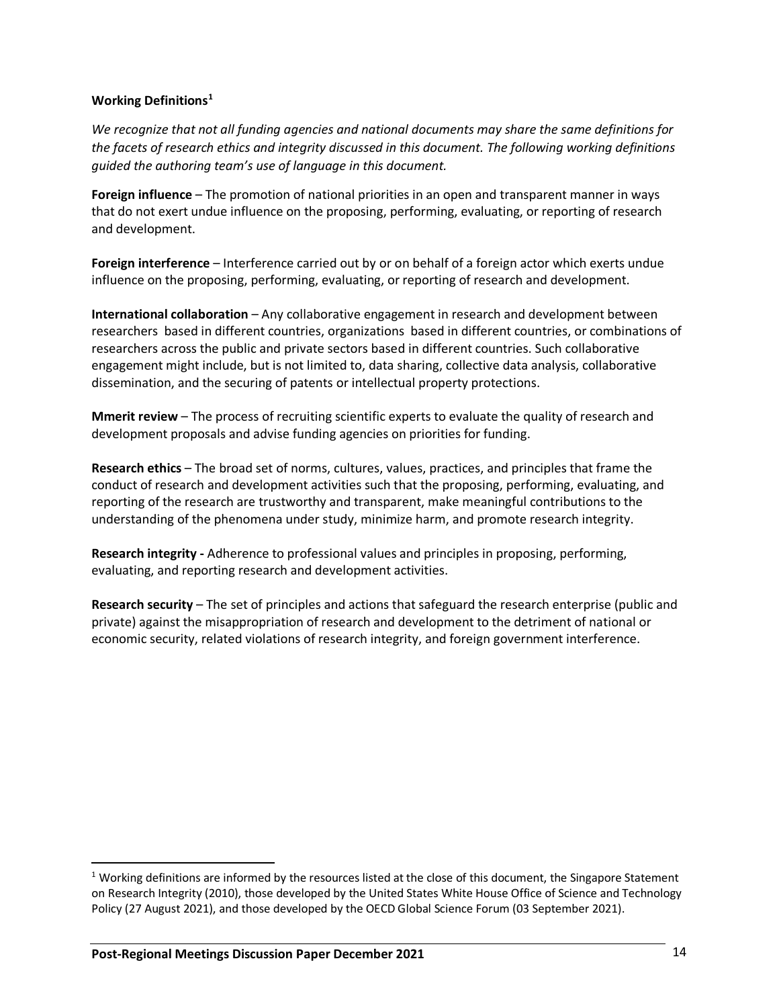## **Working Definitions[1](#page-13-0)**

*We recognize that not all funding agencies and national documents may share the same definitions for the facets of research ethics and integrity discussed in this document. The following working definitions guided the authoring team's use of language in this document.*

**Foreign influence** – The promotion of national priorities in an open and transparent manner in ways that do not exert undue influence on the proposing, performing, evaluating, or reporting of research and development.

**Foreign interference** – Interference carried out by or on behalf of a foreign actor which exerts undue influence on the proposing, performing, evaluating, or reporting of research and development.

**International collaboration** – Any collaborative engagement in research and development between researchers based in different countries, organizations based in different countries, or combinations of researchers across the public and private sectors based in different countries. Such collaborative engagement might include, but is not limited to, data sharing, collective data analysis, collaborative dissemination, and the securing of patents or intellectual property protections.

**Mmerit review** – The process of recruiting scientific experts to evaluate the quality of research and development proposals and advise funding agencies on priorities for funding.

**Research ethics** – The broad set of norms, cultures, values, practices, and principles that frame the conduct of research and development activities such that the proposing, performing, evaluating, and reporting of the research are trustworthy and transparent, make meaningful contributions to the understanding of the phenomena under study, minimize harm, and promote research integrity.

**Research integrity -** Adherence to professional values and principles in proposing, performing, evaluating, and reporting research and development activities.

**Research security** – The set of principles and actions that safeguard the research enterprise (public and private) against the misappropriation of research and development to the detriment of national or economic security, related violations of research integrity, and foreign government interference.

<span id="page-13-0"></span> $1$  Working definitions are informed by the resources listed at the close of this document, the Singapore Statement on Research Integrity (2010), those developed by the United States White House Office of Science and Technology Policy (27 August 2021), and those developed by the OECD Global Science Forum (03 September 2021).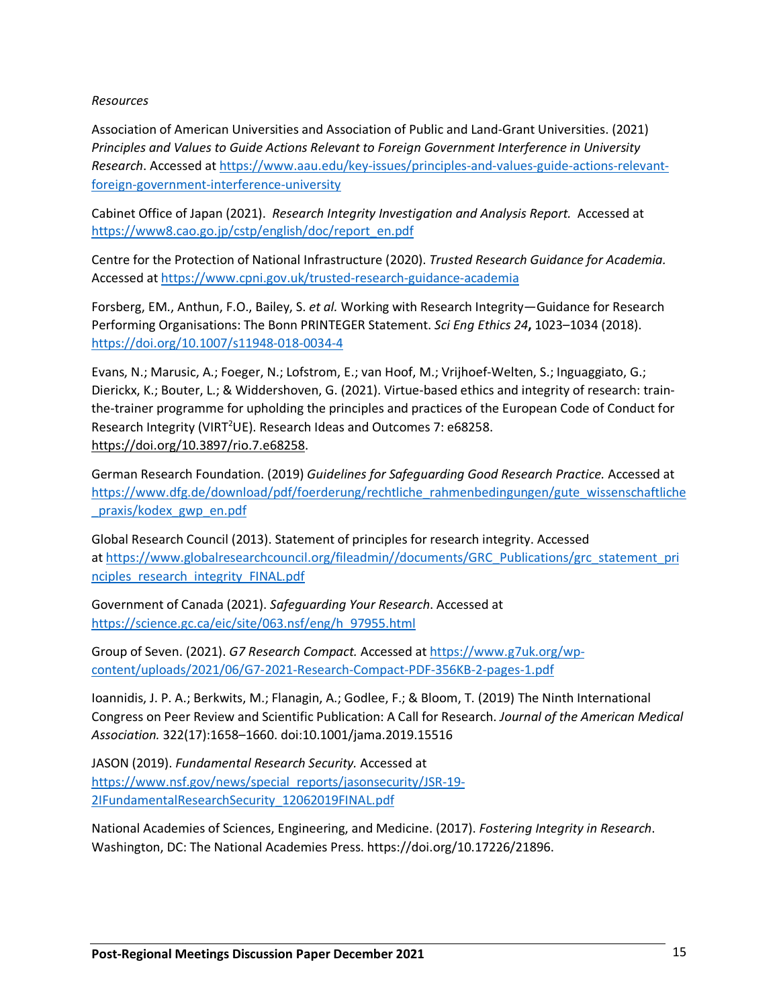### *Resources*

Association of American Universities and Association of Public and Land-Grant Universities. (2021) *Principles and Values to Guide Actions Relevant to Foreign Government Interference in University Research*. Accessed a[t https://www.aau.edu/key-issues/principles-and-values-guide-actions-relevant](https://www.aau.edu/key-issues/principles-and-values-guide-actions-relevant-foreign-government-interference-university)[foreign-government-interference-university](https://www.aau.edu/key-issues/principles-and-values-guide-actions-relevant-foreign-government-interference-university)

Cabinet Office of Japan (2021). *Research Integrity Investigation and Analysis Report.* Accessed at [https://www8.cao.go.jp/cstp/english/doc/report\\_en.pdf](https://www8.cao.go.jp/cstp/english/doc/report_en.pdf)

Centre for the Protection of National Infrastructure (2020). *Trusted Research Guidance for Academia.*  Accessed at<https://www.cpni.gov.uk/trusted-research-guidance-academia>

Forsberg, EM., Anthun, F.O., Bailey, S. *et al.* Working with Research Integrity—Guidance for Research Performing Organisations: The Bonn PRINTEGER Statement. *Sci Eng Ethics 24***,** 1023–1034 (2018). <https://doi.org/10.1007/s11948-018-0034-4>

Evans, N.; Marusic, A.; Foeger, N.; Lofstrom, E.; van Hoof, M.; Vrijhoef-Welten, S.; Inguaggiato, G.; Dierickx, K.; Bouter, L.; & Widdershoven, G. (2021). Virtue-based ethics and integrity of research: trainthe-trainer programme for upholding the principles and practices of the European Code of Conduct for Research Integrity (VIRT<sup>2</sup>UE). Research Ideas and Outcomes 7: e68258. [https://doi.org/10.3897/rio.7.e68258.](https://doi.org/10.3897/rio.7.e68258)

German Research Foundation. (2019) *Guidelines for Safeguarding Good Research Practice.* Accessed at [https://www.dfg.de/download/pdf/foerderung/rechtliche\\_rahmenbedingungen/gute\\_wissenschaftliche](https://www.dfg.de/download/pdf/foerderung/rechtliche_rahmenbedingungen/gute_wissenschaftliche_praxis/kodex_gwp_en.pdf) [\\_praxis/kodex\\_gwp\\_en.pdf](https://www.dfg.de/download/pdf/foerderung/rechtliche_rahmenbedingungen/gute_wissenschaftliche_praxis/kodex_gwp_en.pdf) 

Global Research Council (2013). Statement of principles for research integrity. Accessed at [https://www.globalresearchcouncil.org/fileadmin//documents/GRC\\_Publications/grc\\_statement\\_pri](https://www.globalresearchcouncil.org/fileadmin/documents/GRC_Publications/grc_statement_principles_research_integrity_FINAL.pdf) [nciples\\_research\\_integrity\\_FINAL.pdf](https://www.globalresearchcouncil.org/fileadmin/documents/GRC_Publications/grc_statement_principles_research_integrity_FINAL.pdf) 

Government of Canada (2021). *Safeguarding Your Research*. Accessed at [https://science.gc.ca/eic/site/063.nsf/eng/h\\_97955.html](https://science.gc.ca/eic/site/063.nsf/eng/h_97955.html)

Group of Seven. (2021). *G7 Research Compact.* Accessed at [https://www.g7uk.org/wp](https://www.g7uk.org/wp-content/uploads/2021/06/G7-2021-Research-Compact-PDF-356KB-2-pages-1.pdf)[content/uploads/2021/06/G7-2021-Research-Compact-PDF-356KB-2-pages-1.pdf](https://www.g7uk.org/wp-content/uploads/2021/06/G7-2021-Research-Compact-PDF-356KB-2-pages-1.pdf)

Ioannidis, J. P. A.; Berkwits, M.; Flanagin, A.; Godlee, F.; & Bloom, T. (2019) The Ninth International Congress on Peer Review and Scientific Publication: A Call for Research. *Journal of the American Medical Association.* 322(17):1658–1660. doi:10.1001/jama.2019.15516

JASON (2019). *Fundamental Research Security.* Accessed at [https://www.nsf.gov/news/special\\_reports/jasonsecurity/JSR-19-](https://www.nsf.gov/news/special_reports/jasonsecurity/JSR-19-2IFundamentalResearchSecurity_12062019FINAL.pdf) [2IFundamentalResearchSecurity\\_12062019FINAL.pdf](https://www.nsf.gov/news/special_reports/jasonsecurity/JSR-19-2IFundamentalResearchSecurity_12062019FINAL.pdf)

National Academies of Sciences, Engineering, and Medicine. (2017). *Fostering Integrity in Research*. Washington, DC: The National Academies Press. https://doi.org/10.17226/21896.